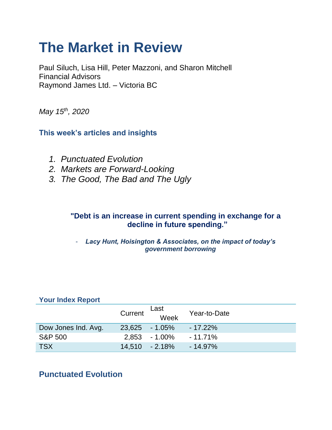# **The Market in Review**

Paul Siluch, Lisa Hill, Peter Mazzoni, and Sharon Mitchell Financial Advisors Raymond James Ltd. – Victoria BC

*May 15th, 2020*

**This week's articles and insights**

- *1. Punctuated Evolution*
- *2. Markets are Forward-Looking*
- *3. The Good, The Bad and The Ugly*

## **"Debt is an increase in current spending in exchange for a decline in future spending."**

- *Lacy Hunt, Hoisington & Associates, on the impact of today's government borrowing*

| <b>Your Index Report</b> |         |                   |              |
|--------------------------|---------|-------------------|--------------|
|                          | Current | Last<br>Week      | Year-to-Date |
| Dow Jones Ind. Avg.      |         | $23,625 - 1.05\%$ | $-17.22\%$   |
| <b>S&amp;P 500</b>       |         | $2,853 - 1.00\%$  | $-11.71%$    |
| <b>TSX</b>               |         | $14,510 - 2.18\%$ | $-14.97\%$   |

## **Punctuated Evolution**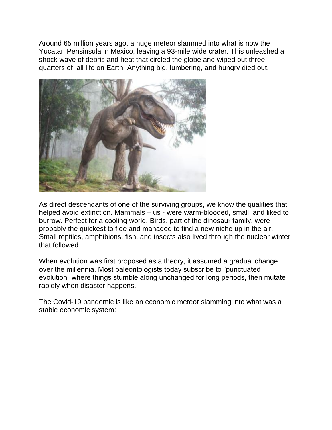Around 65 million years ago, a huge meteor slammed into what is now the Yucatan Pensinsula in Mexico, leaving a 93-mile wide crater. This unleashed a shock wave of debris and heat that circled the globe and wiped out threequarters of all life on Earth. Anything big, lumbering, and hungry died out.



As direct descendants of one of the surviving groups, we know the qualities that helped avoid extinction. Mammals – us - were warm-blooded, small, and liked to burrow. Perfect for a cooling world. Birds, part of the dinosaur family, were probably the quickest to flee and managed to find a new niche up in the air. Small reptiles, amphibions, fish, and insects also lived through the nuclear winter that followed.

When evolution was first proposed as a theory, it assumed a gradual change over the millennia. Most paleontologists today subscribe to "punctuated evolution" where things stumble along unchanged for long periods, then mutate rapidly when disaster happens.

The Covid-19 pandemic is like an economic meteor slamming into what was a stable economic system: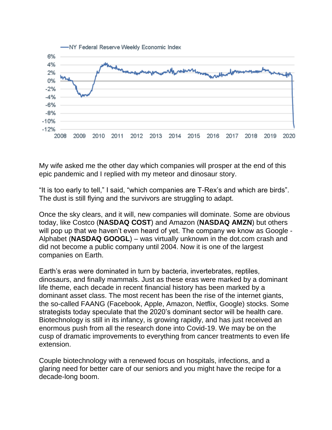

My wife asked me the other day which companies will prosper at the end of this epic pandemic and I replied with my meteor and dinosaur story.

"It is too early to tell," I said, "which companies are T-Rex's and which are birds". The dust is still flying and the survivors are struggling to adapt.

Once the sky clears, and it will, new companies will dominate. Some are obvious today, like Costco (**NASDAQ COST**) and Amazon (**NASDAQ AMZN**) but others will pop up that we haven't even heard of yet. The company we know as Google - Alphabet (**NASDAQ GOOGL**) – was virtually unknown in the dot.com crash and did not become a public company until 2004. Now it is one of the largest companies on Earth.

Earth's eras were dominated in turn by bacteria, invertebrates, reptiles, dinosaurs, and finally mammals. Just as these eras were marked by a dominant life theme, each decade in recent financial history has been marked by a dominant asset class. The most recent has been the rise of the internet giants, the so-called FAANG (Facebook, Apple, Amazon, Netflix, Google) stocks. Some strategists today speculate that the 2020's dominant sector will be health care. Biotechnology is still in its infancy, is growing rapidly, and has just received an enormous push from all the research done into Covid-19. We may be on the cusp of dramatic improvements to everything from cancer treatments to even life extension.

Couple biotechnology with a renewed focus on hospitals, infections, and a glaring need for better care of our seniors and you might have the recipe for a decade-long boom.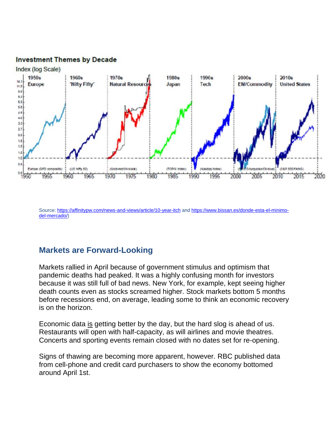#### **Investment Themes by Decade**



Source[: https://affinitypw.com/news-and-views/article/10-year-itch](https://affinitypw.com/news-and-views/article/10-year-itch) and [https://www.bissan.es/donde-esta-el-minimo](https://www.bissan.es/donde-esta-el-minimo-del-mercado/)[del-mercado/\)](https://www.bissan.es/donde-esta-el-minimo-del-mercado/)

## **Markets are Forward-Looking**

Markets rallied in April because of government stimulus and optimism that pandemic deaths had peaked. It was a highly confusing month for investors because it was still full of bad news. New York, for example, kept seeing higher death counts even as stocks screamed higher. Stock markets bottom 5 months before recessions end, on average, leading some to think an economic recovery is on the horizon.

Economic data is getting better by the day, but the hard slog is ahead of us. Restaurants will open with half-capacity, as will airlines and movie theatres. Concerts and sporting events remain closed with no dates set for re-opening.

Signs of thawing are becoming more apparent, however. RBC published data from cell-phone and credit card purchasers to show the economy bottomed around April 1st.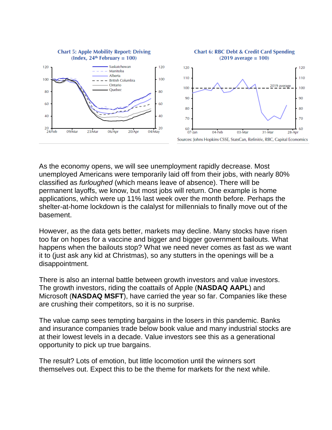

As the economy opens, we will see unemployment rapidly decrease. Most unemployed Americans were temporarily laid off from their jobs, with nearly 80% classified as *furloughed* (which means leave of absence). There will be permanent layoffs, we know, but most jobs will return. One example is home applications, which were up 11% last week over the month before. Perhaps the shelter-at-home lockdown is the calalyst for millennials to finally move out of the basement.

However, as the data gets better, markets may decline. Many stocks have risen too far on hopes for a vaccine and bigger and bigger government bailouts. What happens when the bailouts stop? What we need never comes as fast as we want it to (just ask any kid at Christmas), so any stutters in the openings will be a disappointment.

There is also an internal battle between growth investors and value investors. The growth investors, riding the coattails of Apple (**NASDAQ AAPL**) and Microsoft (**NASDAQ MSFT**), have carried the year so far. Companies like these are crushing their competitors, so it is no surprise.

The value camp sees tempting bargains in the losers in this pandemic. Banks and insurance companies trade below book value and many industrial stocks are at their lowest levels in a decade. Value investors see this as a generational opportunity to pick up true bargains.

The result? Lots of emotion, but little locomotion until the winners sort themselves out. Expect this to be the theme for markets for the next while.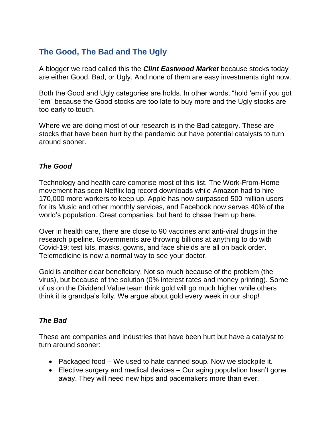## **The Good, The Bad and The Ugly**

A blogger we read called this the *Clint Eastwood Market* because stocks today are either Good, Bad, or Ugly. And none of them are easy investments right now.

Both the Good and Ugly categories are holds. In other words, "hold 'em if you got 'em" because the Good stocks are too late to buy more and the Ugly stocks are too early to touch.

Where we are doing most of our research is in the Bad category. These are stocks that have been hurt by the pandemic but have potential catalysts to turn around sooner.

#### *The Good*

Technology and health care comprise most of this list. The Work-From-Home movement has seen Netflix log record downloads while Amazon had to hire 170,000 more workers to keep up. Apple has now surpassed 500 million users for its Music and other monthly services, and Facebook now serves 40% of the world's population. Great companies, but hard to chase them up here.

Over in health care, there are close to 90 vaccines and anti-viral drugs in the research pipeline. Governments are throwing billions at anything to do with Covid-19: test kits, masks, gowns, and face shields are all on back order. Telemedicine is now a normal way to see your doctor.

Gold is another clear beneficiary. Not so much because of the problem (the virus), but because of the solution (0% interest rates and money printing). Some of us on the Dividend Value team think gold will go much higher while others think it is grandpa's folly. We argue about gold every week in our shop!

### *The Bad*

These are companies and industries that have been hurt but have a catalyst to turn around sooner:

- Packaged food We used to hate canned soup. Now we stockpile it.
- Elective surgery and medical devices Our aging population hasn't gone away. They will need new hips and pacemakers more than ever.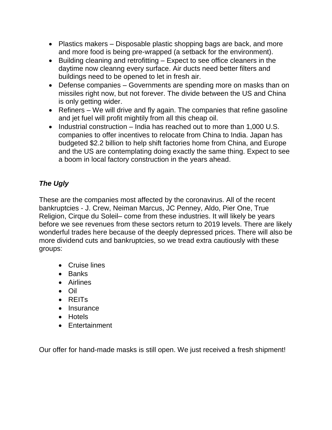- Plastics makers Disposable plastic shopping bags are back, and more and more food is being pre-wrapped (a setback for the environment).
- Building cleaning and retrofitting Expect to see office cleaners in the daytime now cleanng every surface. Air ducts need better filters and buildings need to be opened to let in fresh air.
- Defense companies Governments are spending more on masks than on missiles right now, but not forever. The divide between the US and China is only getting wider.
- Refiners We will drive and fly again. The companies that refine gasoline and jet fuel will profit mightily from all this cheap oil.
- $\bullet$  Industrial construction India has reached out to more than 1,000 U.S. companies to offer incentives to relocate from China to India. Japan has budgeted \$2.2 billion to help shift factories home from China, and Europe and the US are contemplating doing exactly the same thing. Expect to see a boom in local factory construction in the years ahead.

## *The Ugly*

These are the companies most affected by the coronavirus. All of the recent bankruptcies - J. Crew, Neiman Marcus, JC Penney, Aldo, Pier One, True Religion, Cirque du Soleil– come from these industries. It will likely be years before we see revenues from these sectors return to 2019 levels. There are likely wonderful trades here because of the deeply depressed prices. There will also be more dividend cuts and bankruptcies, so we tread extra cautiously with these groups:

- Cruise lines
- Banks
- Airlines
- Oil
- REITs
- Insurance
- Hotels
- Entertainment

Our offer for hand-made masks is still open. We just received a fresh shipment!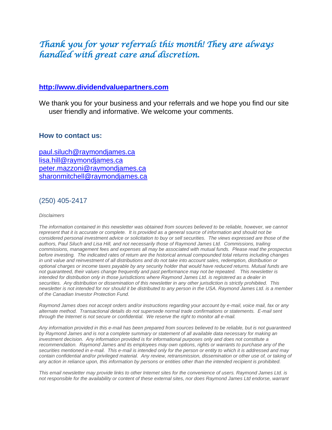## *Thank you for your referrals this month! They are always handled with great care and discretion.*

#### **[http://www.dividendvaluepartners.com](https://urldefense.proofpoint.com/v2/url?u=http-3A__www.dividendvaluepartners.com&d=DwMFAw&c=K3dQCUGiI1B95NJ6cl3GoyhMW2dvBOfimZA-83UXll0&r=_6MBBSGYsFznIBwslhTiqBKEz4pHUCTd_9tbh_EpUMY&m=scBAtuMDuWZwK1IVr5YXjdB6aRS-faGHAMq3jOn6sJU&s=enZqe4ZgcjH_33x5dT-vZq9A37d4AhNkXvjc6AbmYww&e=)**

We thank you for your business and your referrals and we hope you find our site user friendly and informative. We welcome your comments.

#### **How to contact us:**

[paul.siluch@raymondjames.ca](https://owa-kel.raymondjames.ca/owa/redir.aspx?SURL=z0BxOCXDlQ-Aad1f_a9igaARxm5Rd1VXE7UcmD4mZ3IZiacj7DPTCG0AYQBpAGwAdABvADoAcABhAHUAbAAuAHMAaQBsAHUAYwBoAEAAcgBhAHkAbQBvAG4AZABqAGEAbQBlAHMALgBjAGEA&URL=mailto%3apaul.siluch%40raymondjames.ca) [lisa.hill@raymondjames.ca](https://owa-kel.raymondjames.ca/owa/redir.aspx?SURL=glaBgdTdxPMFpiw4eumg-PzZXpo9vJyObrXLs1TKtIAZiacj7DPTCG0AYQBpAGwAdABvADoAbABpAHMAYQAuAGgAaQBsAGwAQAByAGEAeQBtAG8AbgBkAGoAYQBtAGUAcwAuAGMAYQA.&URL=mailto%3alisa.hill%40raymondjames.ca) [peter.mazzoni@raymondjames.ca](https://owa-kel.raymondjames.ca/owa/redir.aspx?SURL=3c7mDL9-cZxYXt7CvkOu20QVFy1WCaDQxUZ3BQE6vecZiacj7DPTCG0AYQBpAGwAdABvADoAcABlAHQAZQByAC4AbQBhAHoAegBvAG4AaQBAAHIAYQB5AG0AbwBuAGQAagBhAG0AZQBzAC4AYwBhAA..&URL=mailto%3apeter.mazzoni%40raymondjames.ca) [sharonmitchell@raymondjames.ca](mailto:sharonmitchell@raymondjames.ca)

#### (250) 405-2417

#### *Disclaimers*

*[The information contained in this newsletter was obtained from sources believed to be reliable, however, we cannot](https://owa-kel.raymondjames.ca/owa/redir.aspx?SURL=z0BxOCXDlQ-Aad1f_a9igaARxm5Rd1VXE7UcmD4mZ3IZiacj7DPTCG0AYQBpAGwAdABvADoAcABhAHUAbAAuAHMAaQBsAHUAYwBoAEAAcgBhAHkAbQBvAG4AZABqAGEAbQBlAHMALgBjAGEA&URL=mailto%3apaul.siluch%40raymondjames.ca)  represent that it is accurate or complete. [It is provided as a general source of information and should not be](https://owa-kel.raymondjames.ca/owa/redir.aspx?SURL=z0BxOCXDlQ-Aad1f_a9igaARxm5Rd1VXE7UcmD4mZ3IZiacj7DPTCG0AYQBpAGwAdABvADoAcABhAHUAbAAuAHMAaQBsAHUAYwBoAEAAcgBhAHkAbQBvAG4AZABqAGEAbQBlAHMALgBjAGEA&URL=mailto%3apaul.siluch%40raymondjames.ca)  [considered personal investment advice or solicitation to buy or sell securities.](https://owa-kel.raymondjames.ca/owa/redir.aspx?SURL=z0BxOCXDlQ-Aad1f_a9igaARxm5Rd1VXE7UcmD4mZ3IZiacj7DPTCG0AYQBpAGwAdABvADoAcABhAHUAbAAuAHMAaQBsAHUAYwBoAEAAcgBhAHkAbQBvAG4AZABqAGEAbQBlAHMALgBjAGEA&URL=mailto%3apaul.siluch%40raymondjames.ca) The views expressed are those of the [authors, Paul Siluch and Lisa Hill, and not necessarily those of Raymond James Ltd.](https://owa-kel.raymondjames.ca/owa/redir.aspx?SURL=z0BxOCXDlQ-Aad1f_a9igaARxm5Rd1VXE7UcmD4mZ3IZiacj7DPTCG0AYQBpAGwAdABvADoAcABhAHUAbAAuAHMAaQBsAHUAYwBoAEAAcgBhAHkAbQBvAG4AZABqAGEAbQBlAHMALgBjAGEA&URL=mailto%3apaul.siluch%40raymondjames.ca) Commissions, trailing [commissions, management fees and expenses all may be associated with mutual funds.](https://owa-kel.raymondjames.ca/owa/redir.aspx?SURL=z0BxOCXDlQ-Aad1f_a9igaARxm5Rd1VXE7UcmD4mZ3IZiacj7DPTCG0AYQBpAGwAdABvADoAcABhAHUAbAAuAHMAaQBsAHUAYwBoAEAAcgBhAHkAbQBvAG4AZABqAGEAbQBlAHMALgBjAGEA&URL=mailto%3apaul.siluch%40raymondjames.ca) Please read the prospectus before investing. [The indicated rates of return are the historical annual compounded total returns including changes](https://owa-kel.raymondjames.ca/owa/redir.aspx?SURL=z0BxOCXDlQ-Aad1f_a9igaARxm5Rd1VXE7UcmD4mZ3IZiacj7DPTCG0AYQBpAGwAdABvADoAcABhAHUAbAAuAHMAaQBsAHUAYwBoAEAAcgBhAHkAbQBvAG4AZABqAGEAbQBlAHMALgBjAGEA&URL=mailto%3apaul.siluch%40raymondjames.ca)  [in unit value and reinvestment of all distributions and do not take into account sales, redemption, distribution or](https://owa-kel.raymondjames.ca/owa/redir.aspx?SURL=z0BxOCXDlQ-Aad1f_a9igaARxm5Rd1VXE7UcmD4mZ3IZiacj7DPTCG0AYQBpAGwAdABvADoAcABhAHUAbAAuAHMAaQBsAHUAYwBoAEAAcgBhAHkAbQBvAG4AZABqAGEAbQBlAHMALgBjAGEA&URL=mailto%3apaul.siluch%40raymondjames.ca)  [optional charges or income taxes payable by any security holder that would have reduced returns. Mutual funds are](https://owa-kel.raymondjames.ca/owa/redir.aspx?SURL=z0BxOCXDlQ-Aad1f_a9igaARxm5Rd1VXE7UcmD4mZ3IZiacj7DPTCG0AYQBpAGwAdABvADoAcABhAHUAbAAuAHMAaQBsAHUAYwBoAEAAcgBhAHkAbQBvAG4AZABqAGEAbQBlAHMALgBjAGEA&URL=mailto%3apaul.siluch%40raymondjames.ca)  [not guaranteed, their values change frequently and past performance may not be repeated.](https://owa-kel.raymondjames.ca/owa/redir.aspx?SURL=z0BxOCXDlQ-Aad1f_a9igaARxm5Rd1VXE7UcmD4mZ3IZiacj7DPTCG0AYQBpAGwAdABvADoAcABhAHUAbAAuAHMAaQBsAHUAYwBoAEAAcgBhAHkAbQBvAG4AZABqAGEAbQBlAHMALgBjAGEA&URL=mailto%3apaul.siluch%40raymondjames.ca) This newsletter is [intended for distribution only in those jurisdictions where Raymond James Ltd. is registered as a dealer in](https://owa-kel.raymondjames.ca/owa/redir.aspx?SURL=z0BxOCXDlQ-Aad1f_a9igaARxm5Rd1VXE7UcmD4mZ3IZiacj7DPTCG0AYQBpAGwAdABvADoAcABhAHUAbAAuAHMAaQBsAHUAYwBoAEAAcgBhAHkAbQBvAG4AZABqAGEAbQBlAHMALgBjAGEA&URL=mailto%3apaul.siluch%40raymondjames.ca)  securities. [Any distribution or dissemination of this newsletter in any other jurisdiction is strictly prohibited.](https://owa-kel.raymondjames.ca/owa/redir.aspx?SURL=z0BxOCXDlQ-Aad1f_a9igaARxm5Rd1VXE7UcmD4mZ3IZiacj7DPTCG0AYQBpAGwAdABvADoAcABhAHUAbAAuAHMAaQBsAHUAYwBoAEAAcgBhAHkAbQBvAG4AZABqAGEAbQBlAHMALgBjAGEA&URL=mailto%3apaul.siluch%40raymondjames.ca) This [newsletter is not intended for nor should it be distributed to any person in the USA. Raymond James Ltd. is a member](https://owa-kel.raymondjames.ca/owa/redir.aspx?SURL=z0BxOCXDlQ-Aad1f_a9igaARxm5Rd1VXE7UcmD4mZ3IZiacj7DPTCG0AYQBpAGwAdABvADoAcABhAHUAbAAuAHMAaQBsAHUAYwBoAEAAcgBhAHkAbQBvAG4AZABqAGEAbQBlAHMALgBjAGEA&URL=mailto%3apaul.siluch%40raymondjames.ca)  [of the Canadian Investor Protection Fund.](https://owa-kel.raymondjames.ca/owa/redir.aspx?SURL=z0BxOCXDlQ-Aad1f_a9igaARxm5Rd1VXE7UcmD4mZ3IZiacj7DPTCG0AYQBpAGwAdABvADoAcABhAHUAbAAuAHMAaQBsAHUAYwBoAEAAcgBhAHkAbQBvAG4AZABqAGEAbQBlAHMALgBjAGEA&URL=mailto%3apaul.siluch%40raymondjames.ca)* 

*Raymond James [does not accept orders and/or instructions regarding your account by e-mail, voice mail, fax or any](https://owa-kel.raymondjames.ca/owa/redir.aspx?SURL=z0BxOCXDlQ-Aad1f_a9igaARxm5Rd1VXE7UcmD4mZ3IZiacj7DPTCG0AYQBpAGwAdABvADoAcABhAHUAbAAuAHMAaQBsAHUAYwBoAEAAcgBhAHkAbQBvAG4AZABqAGEAbQBlAHMALgBjAGEA&URL=mailto%3apaul.siluch%40raymondjames.ca)  alternate method. [Transactional details do not supersede normal trade confirmations or statements.](https://owa-kel.raymondjames.ca/owa/redir.aspx?SURL=z0BxOCXDlQ-Aad1f_a9igaARxm5Rd1VXE7UcmD4mZ3IZiacj7DPTCG0AYQBpAGwAdABvADoAcABhAHUAbAAuAHMAaQBsAHUAYwBoAEAAcgBhAHkAbQBvAG4AZABqAGEAbQBlAHMALgBjAGEA&URL=mailto%3apaul.siluch%40raymondjames.ca) E-mail sent [through the Internet is not secure or confidential.](https://owa-kel.raymondjames.ca/owa/redir.aspx?SURL=z0BxOCXDlQ-Aad1f_a9igaARxm5Rd1VXE7UcmD4mZ3IZiacj7DPTCG0AYQBpAGwAdABvADoAcABhAHUAbAAuAHMAaQBsAHUAYwBoAEAAcgBhAHkAbQBvAG4AZABqAGEAbQBlAHMALgBjAGEA&URL=mailto%3apaul.siluch%40raymondjames.ca) We reserve the right to monitor all e-mail.*

*[Any information provided in this e-mail has been prepared from sources believed to be reliable, but is not guaranteed](https://owa-kel.raymondjames.ca/owa/redir.aspx?SURL=z0BxOCXDlQ-Aad1f_a9igaARxm5Rd1VXE7UcmD4mZ3IZiacj7DPTCG0AYQBpAGwAdABvADoAcABhAHUAbAAuAHMAaQBsAHUAYwBoAEAAcgBhAHkAbQBvAG4AZABqAGEAbQBlAHMALgBjAGEA&URL=mailto%3apaul.siluch%40raymondjames.ca)  by Raymond James [and is not a complete summary or statement of all available data necessary for making an](https://owa-kel.raymondjames.ca/owa/redir.aspx?SURL=z0BxOCXDlQ-Aad1f_a9igaARxm5Rd1VXE7UcmD4mZ3IZiacj7DPTCG0AYQBpAGwAdABvADoAcABhAHUAbAAuAHMAaQBsAHUAYwBoAEAAcgBhAHkAbQBvAG4AZABqAGEAbQBlAHMALgBjAGEA&URL=mailto%3apaul.siluch%40raymondjames.ca)  investment decision. [Any information provided is for informational purposes only and does not constitute a](https://owa-kel.raymondjames.ca/owa/redir.aspx?SURL=z0BxOCXDlQ-Aad1f_a9igaARxm5Rd1VXE7UcmD4mZ3IZiacj7DPTCG0AYQBpAGwAdABvADoAcABhAHUAbAAuAHMAaQBsAHUAYwBoAEAAcgBhAHkAbQBvAG4AZABqAGEAbQBlAHMALgBjAGEA&URL=mailto%3apaul.siluch%40raymondjames.ca)  recommendation. Raymond James [and its employees may own options, rights or warrants to purchase any of the](https://owa-kel.raymondjames.ca/owa/redir.aspx?SURL=z0BxOCXDlQ-Aad1f_a9igaARxm5Rd1VXE7UcmD4mZ3IZiacj7DPTCG0AYQBpAGwAdABvADoAcABhAHUAbAAuAHMAaQBsAHUAYwBoAEAAcgBhAHkAbQBvAG4AZABqAGEAbQBlAHMALgBjAGEA&URL=mailto%3apaul.siluch%40raymondjames.ca)  securities mentioned in e-mail. [This e-mail is intended only for the person or entity to which it is addressed and may](https://owa-kel.raymondjames.ca/owa/redir.aspx?SURL=z0BxOCXDlQ-Aad1f_a9igaARxm5Rd1VXE7UcmD4mZ3IZiacj7DPTCG0AYQBpAGwAdABvADoAcABhAHUAbAAuAHMAaQBsAHUAYwBoAEAAcgBhAHkAbQBvAG4AZABqAGEAbQBlAHMALgBjAGEA&URL=mailto%3apaul.siluch%40raymondjames.ca)*  contain confidential and/or privileged material. Any review, retransmission, dissemination or other use of, or taking of *[any action in reliance upon, this information by persons or entities other than the intended recipient is prohibited.](https://owa-kel.raymondjames.ca/owa/redir.aspx?SURL=z0BxOCXDlQ-Aad1f_a9igaARxm5Rd1VXE7UcmD4mZ3IZiacj7DPTCG0AYQBpAGwAdABvADoAcABhAHUAbAAuAHMAaQBsAHUAYwBoAEAAcgBhAHkAbQBvAG4AZABqAGEAbQBlAHMALgBjAGEA&URL=mailto%3apaul.siluch%40raymondjames.ca)*

*This email newsletter may provide links to other Internet sites for the convenience of users. Raymond James Ltd. is not responsible for the availability or content of these external sites, nor does Raymond James Ltd endorse, warrant*